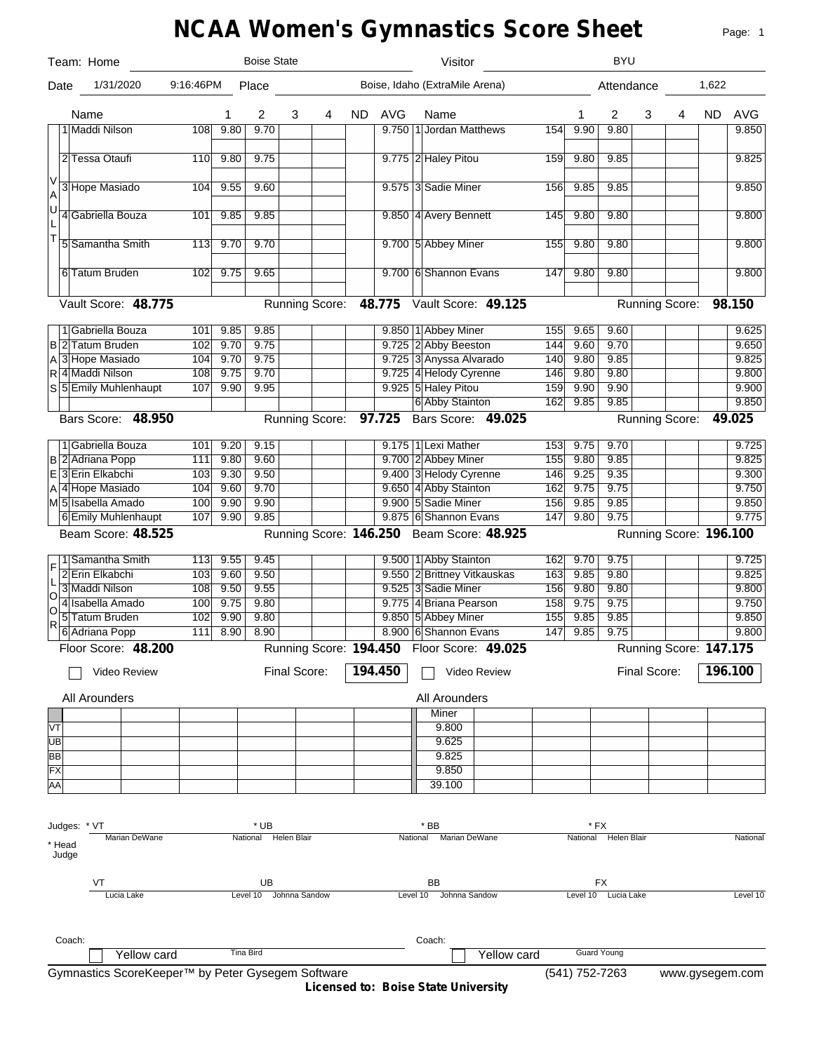# **NCAA Women's Gymnastics Score Sheet**

|     |                 | Team: Home                                        |           |      | <b>Boise State</b>   |               |                       |     |            | Visitor                                    |     |                | <b>BYU</b>           |              |                        |           |                 |
|-----|-----------------|---------------------------------------------------|-----------|------|----------------------|---------------|-----------------------|-----|------------|--------------------------------------------|-----|----------------|----------------------|--------------|------------------------|-----------|-----------------|
|     | Date            | 1/31/2020                                         | 9:16:46PM |      | Place                |               |                       |     |            | Boise, Idaho (ExtraMile Arena)             |     |                | Attendance           |              |                        | 1,622     |                 |
|     |                 | Name                                              |           | 1    | 2                    | 3             | 4                     | ND. | <b>AVG</b> | Name                                       |     | 1              | 2                    | 3            | 4                      | <b>ND</b> | <b>AVG</b>      |
|     |                 | 1 Maddi Nilson                                    | 108       | 9.80 | 9.70                 |               |                       |     |            | 9.750 1 Jordan Matthews                    | 154 | 9.90           | 9.80                 |              |                        |           | 9.850           |
|     |                 |                                                   |           |      |                      |               |                       |     |            |                                            |     |                |                      |              |                        |           |                 |
|     |                 | 2 Tessa Otaufi                                    | 110       | 9.80 | 9.75                 |               |                       |     |            | 9.775 2 Haley Pitou                        | 159 | 9.80           | 9.85                 |              |                        |           | 9.825           |
| V   |                 | 3 Hope Masiado                                    | 104       | 9.55 | 9.60                 |               |                       |     |            | 9.575 3 Sadie Miner                        | 156 | 9.85           | 9.85                 |              |                        |           | 9.850           |
| A   |                 |                                                   |           |      |                      |               |                       |     |            |                                            |     |                |                      |              |                        |           |                 |
| ΙU  |                 | 4 Gabriella Bouza                                 | 101       | 9.85 | 9.85                 |               |                       |     |            | 9.850 4 Avery Bennett                      | 145 | 9.80           | 9.80                 |              |                        |           | 9.800           |
| T   |                 |                                                   |           |      |                      |               |                       |     |            |                                            |     |                |                      |              |                        |           |                 |
|     |                 | 5 Samantha Smith                                  | 113       | 9.70 | 9.70                 |               |                       |     |            | 9.700 5 Abbey Miner                        | 155 | 9.80           | 9.80                 |              |                        |           | 9.800           |
|     |                 |                                                   |           |      |                      |               |                       |     |            |                                            |     |                |                      |              |                        |           |                 |
|     |                 | 6 Tatum Bruden                                    | 102       | 9.75 | 9.65                 |               |                       |     |            | 9.700 6 Shannon Evans                      | 147 | 9.80           | 9.80                 |              |                        |           | 9.800           |
|     |                 | Vault Score: 48.775                               |           |      |                      |               | Running Score:        |     |            | 48.775 Vault Score: 49.125                 |     |                |                      |              | Running Score:         |           | 98.150          |
|     |                 |                                                   |           |      |                      |               |                       |     |            |                                            |     |                |                      |              |                        |           |                 |
|     |                 | 1 Gabriella Bouza                                 | 101       | 9.85 | 9.85                 |               |                       |     |            | 9.850 1 Abbey Miner                        | 155 | 9.65           | 9.60                 |              |                        |           | 9.625           |
|     |                 | <b>B2</b> Tatum Bruden                            | 102       | 9.70 | 9.75                 |               |                       |     |            | 9.725 2 Abby Beeston                       | 144 | 9.60           | 9.70                 |              |                        |           | 9.650           |
|     |                 | A 3 Hope Masiado                                  | 104       | 9.70 | 9.75                 |               |                       |     |            | 9.725 3 Anyssa Alvarado                    | 140 | 9.80           | 9.85                 |              |                        |           | 9.825           |
|     |                 | R 4 Maddi Nilson                                  | 108       | 9.75 | 9.70                 |               |                       |     |            | 9.725 4 Helody Cyrenne                     | 146 | 9.80           | 9.80                 |              |                        |           | 9.800           |
|     |                 | S 5 Emily Muhlenhaupt                             | 107       | 9.90 | 9.95                 |               |                       |     |            | 9.925 5 Haley Pitou                        | 159 | 9.90           | 9.90                 |              |                        |           | 9.900           |
|     |                 |                                                   |           |      |                      |               |                       |     |            | 6 Abby Stainton                            | 162 | 9.85           | 9.85                 |              |                        |           | 9.850           |
|     |                 | Bars Score: 48.950                                |           |      |                      |               | Running Score: 97.725 |     |            | Bars Score: 49.025                         |     |                |                      |              | Running Score:         |           | 49.025          |
|     |                 | 1 Gabriella Bouza                                 | 101       | 9.20 | 9.15                 |               |                       |     |            | 9.175 1 Lexi Mather                        | 153 | 9.75           | 9.70                 |              |                        |           | 9.725           |
|     |                 | B 2 Adriana Popp                                  | 111       | 9.80 | 9.60                 |               |                       |     |            | 9.700 2 Abbey Miner                        | 155 | 9.80           | 9.85                 |              |                        |           | 9.825           |
|     |                 | E 3 Erin Elkabchi                                 | 103       | 9.30 | 9.50                 |               |                       |     |            | 9.400 3 Helody Cyrenne                     | 146 | 9.25           | 9.35                 |              |                        |           | 9.300           |
|     |                 | A 4 Hope Masiado                                  | 104       | 9.60 | 9.70                 |               |                       |     |            | 9.650 4 Abby Stainton                      | 162 | 9.75           | 9.75                 |              |                        |           | 9.750           |
|     |                 | M5 Isabella Amado                                 | 100       | 9.90 | 9.90                 |               |                       |     |            | 9.900 5 Sadie Miner                        | 156 | 9.85           | 9.85                 |              |                        |           | 9.850           |
|     |                 | 6 Emily Muhlenhaupt                               | 107       | 9.90 | 9.85                 |               |                       |     |            | 9.875 6 Shannon Evans                      | 147 | 9.80           | 9.75                 |              |                        |           | 9.775           |
|     |                 | Beam Score: 48.525                                |           |      |                      |               |                       |     |            | Running Score: 146.250 Beam Score: 48.925  |     |                |                      |              | Running Score: 196.100 |           |                 |
|     |                 |                                                   |           |      |                      |               |                       |     |            |                                            |     |                |                      |              |                        |           |                 |
| F   |                 | Samantha Smith                                    | 113       | 9.55 | 9.45                 |               |                       |     |            | 9.500 1 Abby Stainton                      | 162 | 9.70           | 9.75                 |              |                        |           | 9.725           |
| L   |                 | 2 Erin Elkabchi                                   | 103       | 9.60 | 9.50                 |               |                       |     |            | 9.550 2 Brittney Vitkauskas                | 163 | 9.85           | 9.80                 |              |                        |           | 9.825           |
| lo  |                 | 3 Maddi Nilson                                    | 108       | 9.50 | 9.55                 |               |                       |     |            | 9.525 3 Sadie Miner                        | 156 | 9.80           | 9.80                 |              |                        |           | 9.800           |
| O   |                 | 4 Isabella Amado                                  | 100       | 9.75 | 9.80                 |               |                       |     |            | 9.775 4 Briana Pearson                     | 158 | 9.75           | 9.75                 |              |                        |           | 9.750           |
| R   |                 | 5 Tatum Bruden                                    | 102       | 9.90 | 9.80                 |               |                       |     |            | 9.850 5 Abbey Miner                        | 155 | 9.85           | 9.85                 |              |                        |           | 9.850           |
|     |                 | 6 Adriana Popp                                    | 111       | 8.90 | 8.90                 |               |                       |     |            | 8.900 6 Shannon Evans                      | 147 | 9.85           | 9.75                 |              |                        |           | 9.800           |
|     |                 | Floor Score: 48.200                               |           |      |                      |               |                       |     |            | Running Score: 194.450 Floor Score: 49.025 |     |                |                      |              | Running Score: 147.175 |           |                 |
|     |                 | Video Review                                      |           |      |                      | Final Score:  |                       |     | 194.450    | Video Review                               |     |                |                      | Final Score: |                        |           | 196.100         |
|     |                 |                                                   |           |      |                      |               |                       |     |            |                                            |     |                |                      |              |                        |           |                 |
|     |                 | All Arounders                                     |           |      |                      |               |                       |     |            | All Arounders                              |     |                |                      |              |                        |           |                 |
|     |                 |                                                   |           |      |                      |               |                       |     |            | Miner                                      |     |                |                      |              |                        |           |                 |
| VT  |                 |                                                   |           |      |                      |               |                       |     |            | 9.800                                      |     |                |                      |              |                        |           |                 |
| ∣∪в |                 |                                                   |           |      |                      |               |                       |     |            | 9.625                                      |     |                |                      |              |                        |           |                 |
| BB  |                 |                                                   |           |      |                      |               |                       |     |            | 9.825                                      |     |                |                      |              |                        |           |                 |
| FX  |                 |                                                   |           |      |                      |               |                       |     |            | 9.850                                      |     |                |                      |              |                        |           |                 |
| AA  |                 |                                                   |           |      |                      |               |                       |     |            | 39.100                                     |     |                |                      |              |                        |           |                 |
|     |                 |                                                   |           |      |                      |               |                       |     |            |                                            |     |                |                      |              |                        |           |                 |
|     |                 | Judges: * VT                                      |           |      | * UB                 |               |                       |     |            | * BB                                       |     | * FX           |                      |              |                        |           |                 |
|     |                 | Marian DeWane                                     |           |      | National Helen Blair |               |                       |     | National   | Marian DeWane                              |     |                | National Helen Blair |              |                        |           | National        |
|     | * Head<br>Judge |                                                   |           |      |                      |               |                       |     |            |                                            |     |                |                      |              |                        |           |                 |
|     |                 |                                                   |           |      |                      |               |                       |     |            |                                            |     |                |                      |              |                        |           |                 |
|     |                 |                                                   |           |      | UB                   |               |                       |     |            | BB                                         |     |                | FX                   |              |                        |           |                 |
|     |                 | Lucia Lake                                        |           |      | Level 10             | Johnna Sandow |                       |     |            | Level 10 Johnna Sandow                     |     |                | Level 10 Lucia Lake  |              |                        |           | Level 10        |
|     |                 |                                                   |           |      |                      |               |                       |     |            |                                            |     |                |                      |              |                        |           |                 |
|     |                 |                                                   |           |      |                      |               |                       |     |            |                                            |     |                |                      |              |                        |           |                 |
|     | Coach:          |                                                   |           |      |                      |               |                       |     |            | Coach:                                     |     |                |                      |              |                        |           |                 |
|     |                 | Yellow card                                       |           |      | <b>Tina Bird</b>     |               |                       |     |            | Yellow card                                |     |                | <b>Guard Young</b>   |              |                        |           |                 |
|     |                 | Gymnastics ScoreKeeper™ by Peter Gysegem Software |           |      |                      |               |                       |     |            |                                            |     | (541) 752-7263 |                      |              |                        |           | www.gysegem.com |

**Licensed to: Boise State University**

Page: 1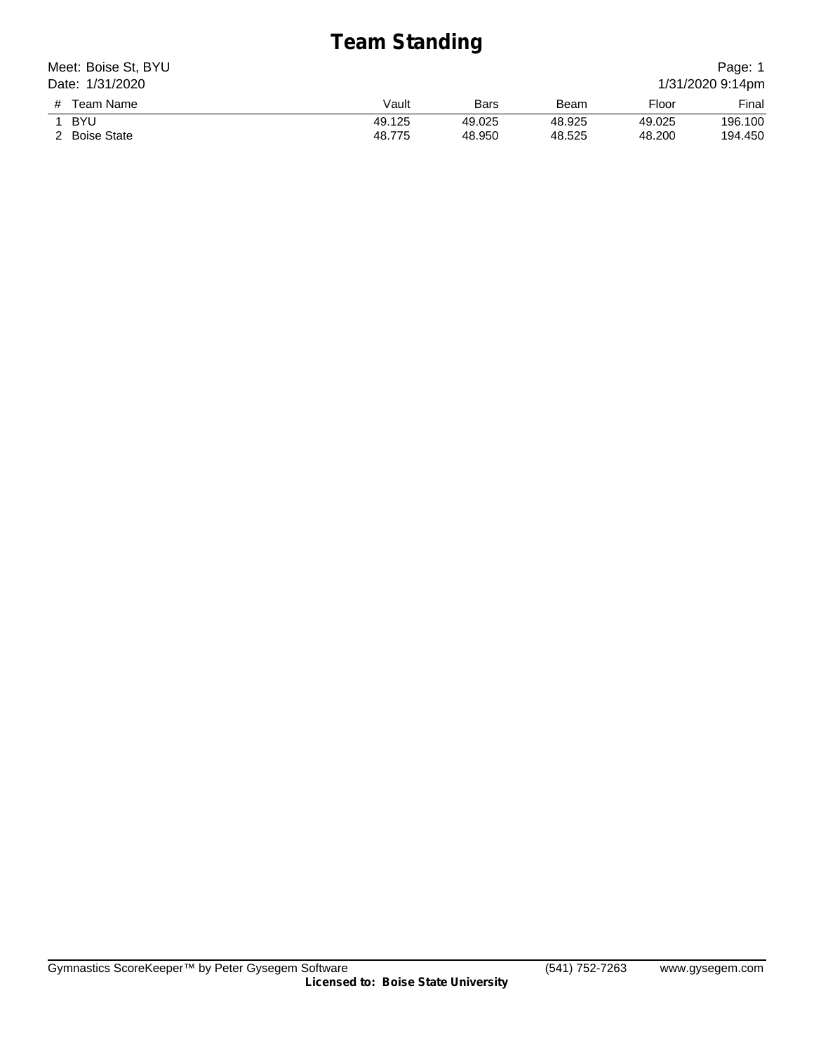# **Team Standing**

| Meet: Boise St, BYU<br>Date: 1/31/2020 |        |        |        |        | Page: 1<br>1/31/2020 9:14pm |
|----------------------------------------|--------|--------|--------|--------|-----------------------------|
| # Team Name                            | Vault  | Bars   | Beam   | Floor  | Final                       |
| BYU                                    | 49.125 | 49.025 | 48.925 | 49.025 | 196.100                     |
| 2 Boise State                          | 48.775 | 48.950 | 48.525 | 48.200 | 194.450                     |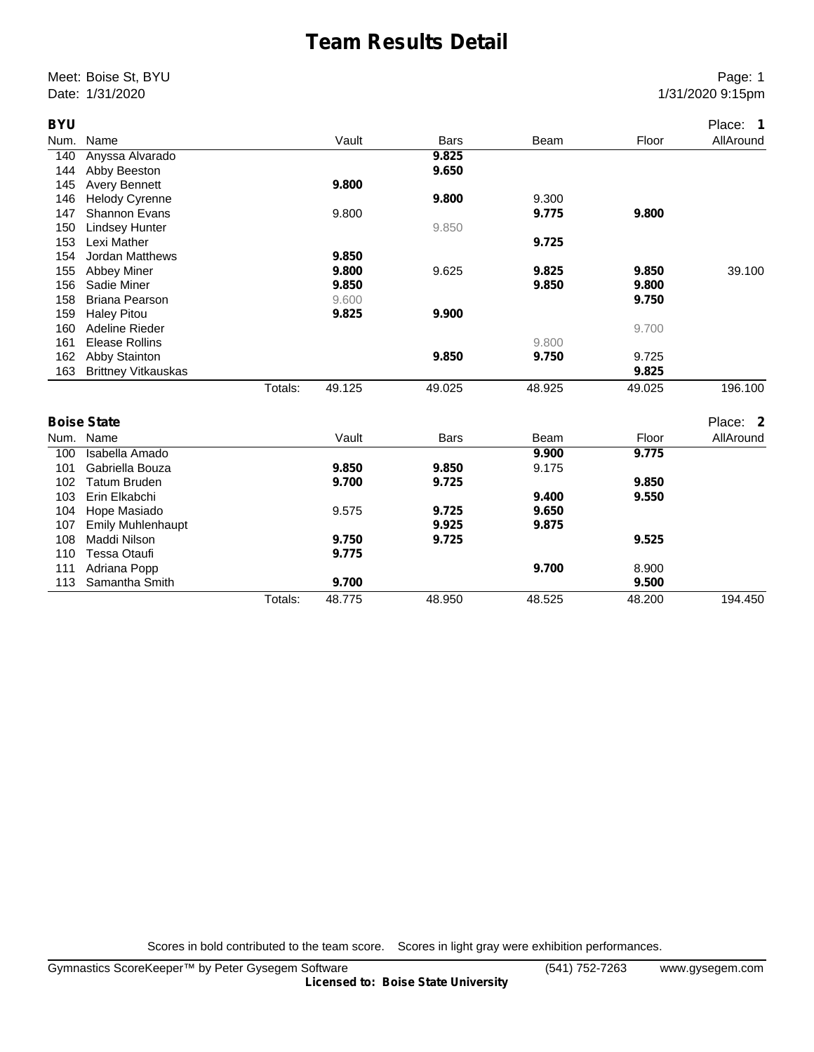# **Team Results Detail**

Meet: Boise St, BYU Page: 1 Date: 1/31/2020 9:15pm

| <b>BYU</b> |                            |         |        |             |        |        | Place: 1  |
|------------|----------------------------|---------|--------|-------------|--------|--------|-----------|
| Num.       | Name                       |         | Vault  | <b>Bars</b> | Beam   | Floor  | AllAround |
| 140        | Anyssa Alvarado            |         |        | 9.825       |        |        |           |
| 144        | Abby Beeston               |         |        | 9.650       |        |        |           |
| 145        | <b>Avery Bennett</b>       |         | 9.800  |             |        |        |           |
| 146        | <b>Helody Cyrenne</b>      |         |        | 9.800       | 9.300  |        |           |
| 147        | <b>Shannon Evans</b>       |         | 9.800  |             | 9.775  | 9.800  |           |
| 150        | <b>Lindsey Hunter</b>      |         |        | 9.850       |        |        |           |
| 153        | Lexi Mather                |         |        |             | 9.725  |        |           |
| 154        | <b>Jordan Matthews</b>     |         | 9.850  |             |        |        |           |
| 155        | Abbey Miner                |         | 9.800  | 9.625       | 9.825  | 9.850  | 39.100    |
| 156        | Sadie Miner                |         | 9.850  |             | 9.850  | 9.800  |           |
| 158        | <b>Briana Pearson</b>      |         | 9.600  |             |        | 9.750  |           |
| 159        | <b>Haley Pitou</b>         |         | 9.825  | 9.900       |        |        |           |
| 160        | Adeline Rieder             |         |        |             |        | 9.700  |           |
| 161        | <b>Elease Rollins</b>      |         |        |             | 9.800  |        |           |
| 162        | Abby Stainton              |         |        | 9.850       | 9.750  | 9.725  |           |
| 163        | <b>Brittney Vitkauskas</b> |         |        |             |        | 9.825  |           |
|            |                            | Totals: | 49.125 | 49.025      | 48.925 | 49.025 | 196.100   |
|            | <b>Boise State</b>         |         |        |             |        |        | Place: 2  |
|            | Num. Name                  |         | Vault  | <b>Bars</b> | Beam   | Floor  | AllAround |
| 100        | Isabella Amado             |         |        |             | 9.900  | 9.775  |           |
| 101        | Gabriella Bouza            |         | 9.850  | 9.850       | 9.175  |        |           |
| 102        | <b>Tatum Bruden</b>        |         | 9.700  | 9.725       |        | 9.850  |           |
| 103        | Erin Elkabchi              |         |        |             | 9.400  | 9.550  |           |
| 104        | Hope Masiado               |         | 9.575  | 9.725       | 9.650  |        |           |
| 107        | <b>Emily Muhlenhaupt</b>   |         |        | 9.925       | 9.875  |        |           |
| 108        | Maddi Nilson               |         | 9.750  | 9.725       |        | 9.525  |           |
| 110        | <b>Tessa Otaufi</b>        |         | 9.775  |             |        |        |           |
| 111        | Adriana Popp               |         |        |             | 9.700  | 8.900  |           |
| 113        | Samantha Smith             |         | 9.700  |             |        | 9.500  |           |
|            |                            | Totals: | 48.775 | 48.950      | 48.525 | 48.200 | 194.450   |

Scores in bold contributed to the team score. Scores in light gray were exhibition performances.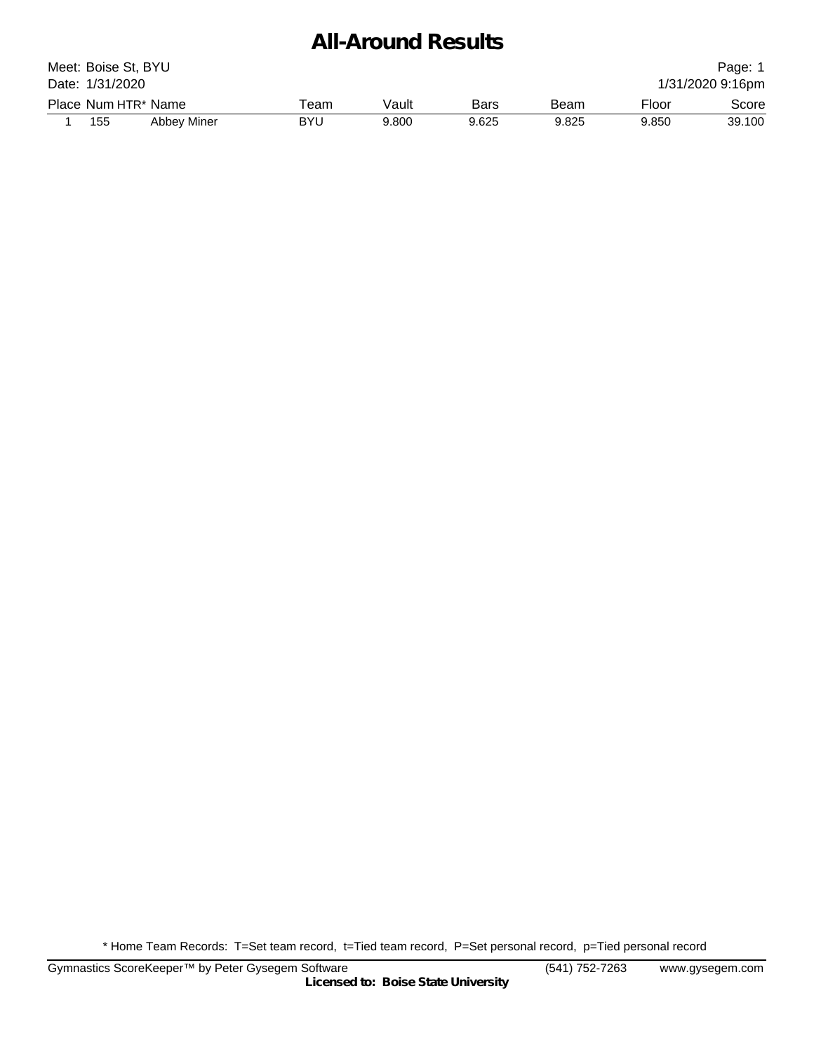#### **All-Around Results**

| Meet: Boise St, BYU<br>Page:<br>Date: 1/31/2020<br>1/31/2020 9:16pm |                     |             |            |       |             |       |       |        |
|---------------------------------------------------------------------|---------------------|-------------|------------|-------|-------------|-------|-------|--------|
|                                                                     | Place Num HTR* Name |             | Геаm       | Vault | <b>Bars</b> | Beam  | Floor | Score  |
|                                                                     | 155                 | Abbey Miner | <b>BYU</b> | 9.800 | 9.625       | 9.825 | 9.850 | 39.100 |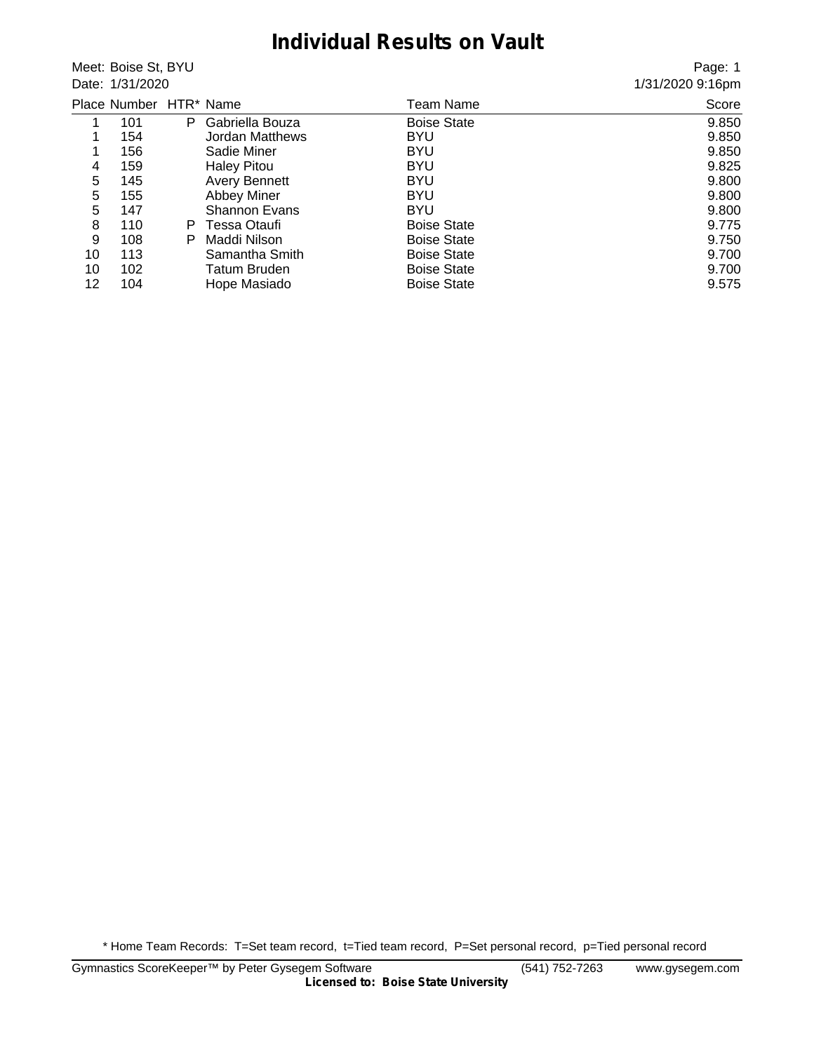#### **Individual Results on Vault**

Meet: Boise St, BYU Date: 1/31/2020

Page: 1 1/31/2020 9:16pm

|    | Place Number HTR* Name |    |                        | Team Name          | Score |
|----|------------------------|----|------------------------|--------------------|-------|
|    | 101                    | P  | Gabriella Bouza        | <b>Boise State</b> | 9.850 |
|    | 154                    |    | <b>Jordan Matthews</b> | <b>BYU</b>         | 9.850 |
| 1  | 156                    |    | Sadie Miner            | <b>BYU</b>         | 9.850 |
| 4  | 159                    |    | <b>Haley Pitou</b>     | <b>BYU</b>         | 9.825 |
| 5  | 145                    |    | <b>Avery Bennett</b>   | <b>BYU</b>         | 9.800 |
| 5  | 155                    |    | <b>Abbey Miner</b>     | <b>BYU</b>         | 9.800 |
| 5  | 147                    |    | <b>Shannon Evans</b>   | <b>BYU</b>         | 9.800 |
| 8  | 110                    | P. | Tessa Otaufi           | <b>Boise State</b> | 9.775 |
| 9  | 108                    | P  | Maddi Nilson           | <b>Boise State</b> | 9.750 |
| 10 | 113                    |    | Samantha Smith         | <b>Boise State</b> | 9.700 |
| 10 | 102                    |    | <b>Tatum Bruden</b>    | <b>Boise State</b> | 9.700 |
| 12 | 104                    |    | Hope Masiado           | <b>Boise State</b> | 9.575 |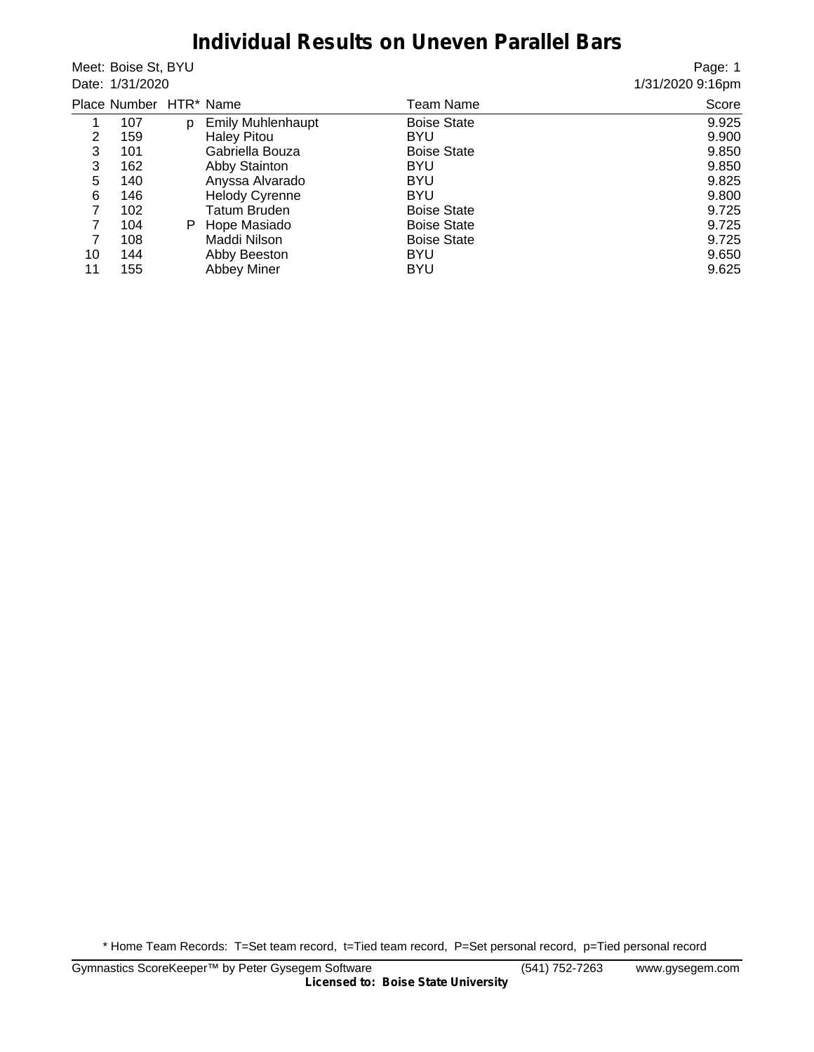#### **Individual Results on Uneven Parallel Bars**

Meet: Boise St, BYU Date: 1/31/2020

Page: 1 1/31/2020 9:16pm

|    | Place Number HTR* Name |    |                          | Team Name          | Score |
|----|------------------------|----|--------------------------|--------------------|-------|
|    | 107                    | D  | <b>Emily Muhlenhaupt</b> | <b>Boise State</b> | 9.925 |
| 2  | 159                    |    | <b>Haley Pitou</b>       | <b>BYU</b>         | 9.900 |
| 3  | 101                    |    | Gabriella Bouza          | <b>Boise State</b> | 9.850 |
| 3  | 162                    |    | Abby Stainton            | <b>BYU</b>         | 9.850 |
| 5  | 140                    |    | Anyssa Alvarado          | <b>BYU</b>         | 9.825 |
| 6  | 146                    |    | <b>Helody Cyrenne</b>    | <b>BYU</b>         | 9.800 |
| 7  | 102                    |    | Tatum Bruden             | <b>Boise State</b> | 9.725 |
|    | 104                    | P. | Hope Masiado             | <b>Boise State</b> | 9.725 |
|    | 108                    |    | Maddi Nilson             | <b>Boise State</b> | 9.725 |
| 10 | 144                    |    | Abby Beeston             | <b>BYU</b>         | 9.650 |
| 11 | 155                    |    | <b>Abbey Miner</b>       | BYU                | 9.625 |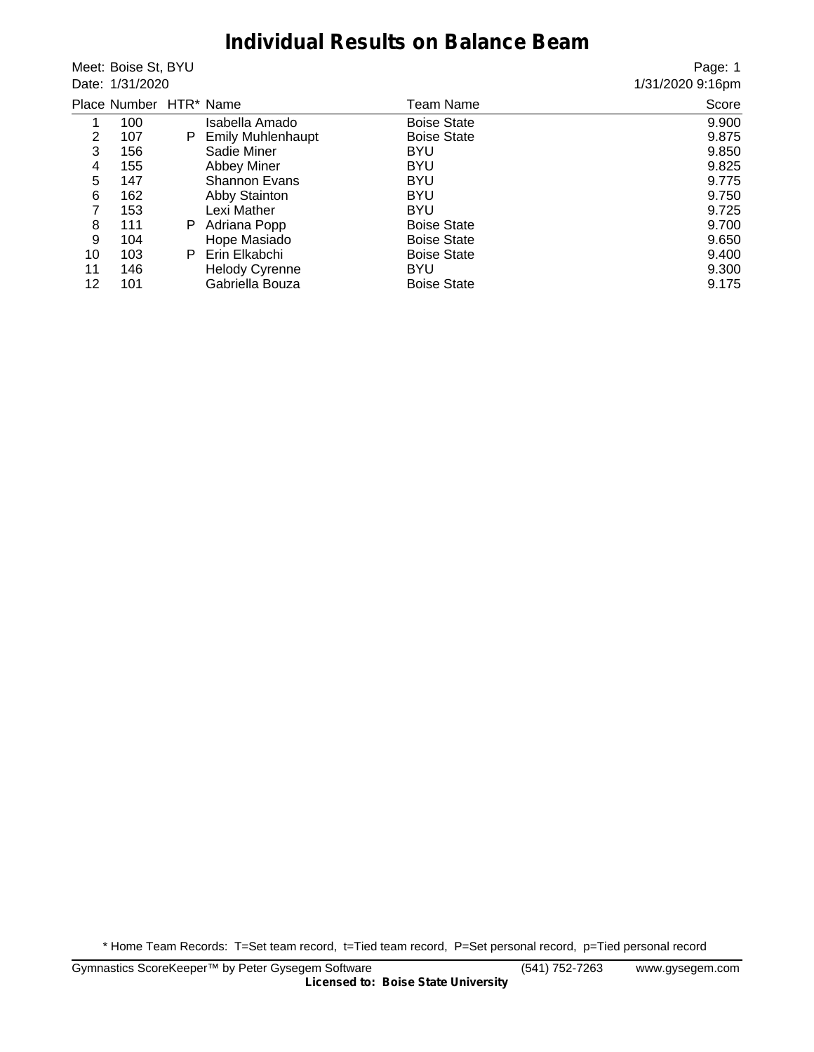## **Individual Results on Balance Beam**

Meet: Boise St, BYU Date: 1/31/2020

Page: 1 1/31/2020 9:16pm

|    | Place Number HTR* Name |    |                          | Team Name          | Score |
|----|------------------------|----|--------------------------|--------------------|-------|
| 1  | 100                    |    | Isabella Amado           | <b>Boise State</b> | 9.900 |
| 2  | 107                    | P. | <b>Emily Muhlenhaupt</b> | <b>Boise State</b> | 9.875 |
| 3  | 156                    |    | Sadie Miner              | <b>BYU</b>         | 9.850 |
| 4  | 155                    |    | <b>Abbey Miner</b>       | <b>BYU</b>         | 9.825 |
| 5  | 147                    |    | <b>Shannon Evans</b>     | <b>BYU</b>         | 9.775 |
| 6  | 162                    |    | Abby Stainton            | <b>BYU</b>         | 9.750 |
| 7  | 153                    |    | Lexi Mather              | <b>BYU</b>         | 9.725 |
| 8  | 111                    | P. | Adriana Popp             | <b>Boise State</b> | 9.700 |
| 9  | 104                    |    | Hope Masiado             | <b>Boise State</b> | 9.650 |
| 10 | 103                    | P. | Erin Elkabchi            | <b>Boise State</b> | 9.400 |
| 11 | 146                    |    | <b>Helody Cyrenne</b>    | BYU                | 9.300 |
| 12 | 101                    |    | Gabriella Bouza          | <b>Boise State</b> | 9.175 |